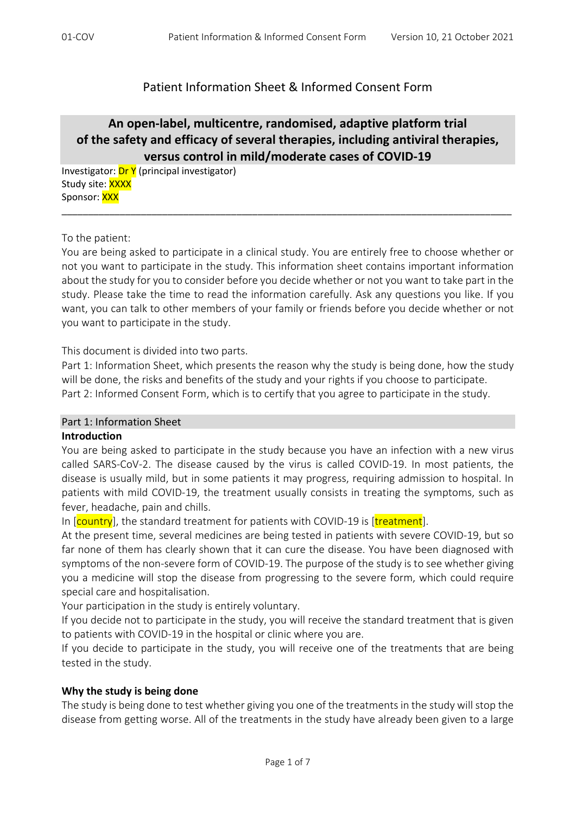## Patient Information Sheet & Informed Consent Form

# **An open‐label, multicentre, randomised, adaptive platform trial of the safety and efficacy of several therapies, including antiviral therapies, versus control in mild/moderate cases of COVID‐19**

\_\_\_\_\_\_\_\_\_\_\_\_\_\_\_\_\_\_\_\_\_\_\_\_\_\_\_\_\_\_\_\_\_\_\_\_\_\_\_\_\_\_\_\_\_\_\_\_\_\_\_\_\_\_\_\_\_\_\_\_\_\_\_\_\_\_\_\_\_\_\_\_\_\_\_\_\_\_\_\_\_\_\_\_\_

Investigator: Dr Y (principal investigator) Study site: XXXX Sponsor: **XXX** 

To the patient:

You are being asked to participate in a clinical study. You are entirely free to choose whether or not you want to participate in the study. This information sheet contains important information about the study for you to consider before you decide whether or not you want to take part in the study. Please take the time to read the information carefully. Ask any questions you like. If you want, you can talk to other members of your family or friends before you decide whether or not you want to participate in the study.

This document is divided into two parts.

Part 1: Information Sheet, which presents the reason why the study is being done, how the study will be done, the risks and benefits of the study and your rights if you choose to participate. Part 2: Informed Consent Form, which is to certify that you agree to participate in the study.

#### Part 1: Information Sheet

#### **Introduction**

You are being asked to participate in the study because you have an infection with a new virus called SARS‐CoV‐2. The disease caused by the virus is called COVID‐19. In most patients, the disease is usually mild, but in some patients it may progress, requiring admission to hospital. In patients with mild COVID‐19, the treatment usually consists in treating the symptoms, such as fever, headache, pain and chills.

In [country], the standard treatment for patients with COVID-19 is [treatment].

At the present time, several medicines are being tested in patients with severe COVID‐19, but so far none of them has clearly shown that it can cure the disease. You have been diagnosed with symptoms of the non-severe form of COVID-19. The purpose of the study is to see whether giving you a medicine will stop the disease from progressing to the severe form, which could require special care and hospitalisation.

Your participation in the study is entirely voluntary.

If you decide not to participate in the study, you will receive the standard treatment that is given to patients with COVID‐19 in the hospital or clinic where you are.

If you decide to participate in the study, you will receive one of the treatments that are being tested in the study.

### **Why the study is being done**

The study is being done to test whether giving you one of the treatments in the study will stop the disease from getting worse. All of the treatments in the study have already been given to a large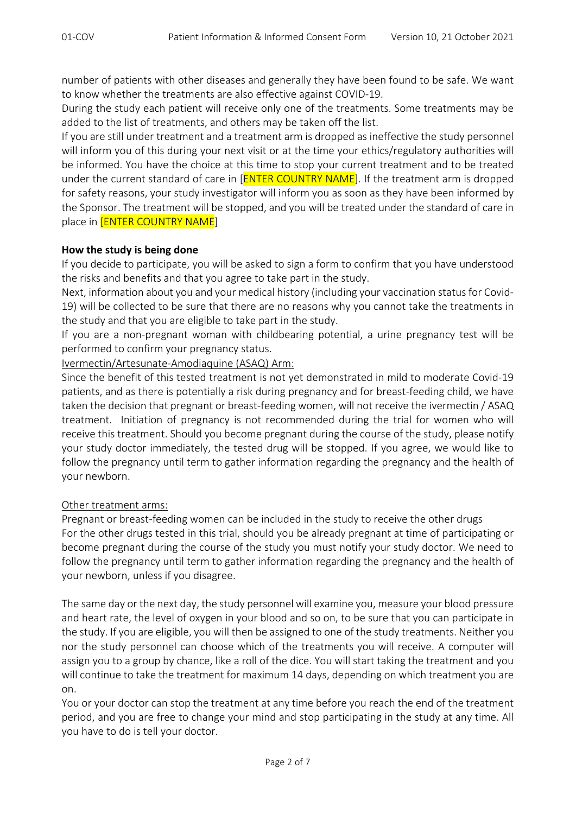number of patients with other diseases and generally they have been found to be safe. We want to know whether the treatments are also effective against COVID‐19.

During the study each patient will receive only one of the treatments. Some treatments may be added to the list of treatments, and others may be taken off the list.

If you are still under treatment and a treatment arm is dropped as ineffective the study personnel will inform you of this during your next visit or at the time your ethics/regulatory authorities will be informed. You have the choice at this time to stop your current treatment and to be treated under the current standard of care in [**ENTER COUNTRY NAME**]. If the treatment arm is dropped for safety reasons, your study investigator will inform you as soon as they have been informed by the Sponsor. The treatment will be stopped, and you will be treated under the standard of care in place in **[ENTER COUNTRY NAME**]

### **How the study is being done**

If you decide to participate, you will be asked to sign a form to confirm that you have understood the risks and benefits and that you agree to take part in the study.

Next, information about you and your medical history (including your vaccination statusfor Covid‐ 19) will be collected to be sure that there are no reasons why you cannot take the treatments in the study and that you are eligible to take part in the study.

If you are a non‐pregnant woman with childbearing potential, a urine pregnancy test will be performed to confirm your pregnancy status.

Ivermectin/Artesunate‐Amodiaquine (ASAQ) Arm:

Since the benefit of this tested treatment is not yet demonstrated in mild to moderate Covid‐19 patients, and as there is potentially a risk during pregnancy and for breast-feeding child, we have taken the decision that pregnant or breast‐feeding women, will not receive the ivermectin / ASAQ treatment. Initiation of pregnancy is not recommended during the trial for women who will receive this treatment. Should you become pregnant during the course of the study, please notify your study doctor immediately, the tested drug will be stopped. If you agree, we would like to follow the pregnancy until term to gather information regarding the pregnancy and the health of your newborn.

### Other treatment arms:

Pregnant or breast‐feeding women can be included in the study to receive the other drugs For the other drugs tested in this trial, should you be already pregnant at time of participating or become pregnant during the course of the study you must notify your study doctor. We need to follow the pregnancy until term to gather information regarding the pregnancy and the health of your newborn, unless if you disagree.

The same day or the next day, the study personnel will examine you, measure your blood pressure and heart rate, the level of oxygen in your blood and so on, to be sure that you can participate in the study. If you are eligible, you will then be assigned to one of the study treatments. Neither you nor the study personnel can choose which of the treatments you will receive. A computer will assign you to a group by chance, like a roll of the dice. You will start taking the treatment and you will continue to take the treatment for maximum 14 days, depending on which treatment you are on.

You or your doctor can stop the treatment at any time before you reach the end of the treatment period, and you are free to change your mind and stop participating in the study at any time. All you have to do is tell your doctor.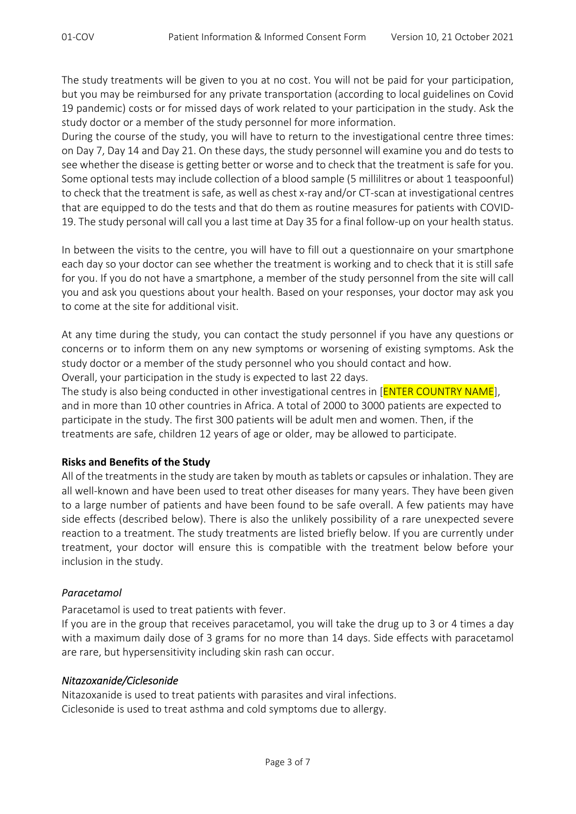The study treatments will be given to you at no cost. You will not be paid for your participation, but you may be reimbursed for any private transportation (according to local guidelines on Covid 19 pandemic) costs or for missed days of work related to your participation in the study. Ask the study doctor or a member of the study personnel for more information.

During the course of the study, you will have to return to the investigational centre three times: on Day 7, Day 14 and Day 21. On these days, the study personnel will examine you and do tests to see whether the disease is getting better or worse and to check that the treatment is safe for you. Some optional tests may include collection of a blood sample (5 millilitres or about 1 teaspoonful) to check that the treatment is safe, as well as chest x‐ray and/or CT‐scan at investigational centres that are equipped to do the tests and that do them as routine measures for patients with COVID‐ 19. The study personal will call you a last time at Day 35 for a final follow‐up on your health status.

In between the visits to the centre, you will have to fill out a questionnaire on your smartphone each day so your doctor can see whether the treatment is working and to check that it is still safe for you. If you do not have a smartphone, a member of the study personnel from the site will call you and ask you questions about your health. Based on your responses, your doctor may ask you to come at the site for additional visit.

At any time during the study, you can contact the study personnel if you have any questions or concerns or to inform them on any new symptoms or worsening of existing symptoms. Ask the study doctor or a member of the study personnel who you should contact and how.

Overall, your participation in the study is expected to last 22 days.

The study is also being conducted in other investigational centres in [**ENTER COUNTRY NAME**], and in more than 10 other countries in Africa. A total of 2000 to 3000 patients are expected to participate in the study. The first 300 patients will be adult men and women. Then, if the treatments are safe, children 12 years of age or older, may be allowed to participate.

### **Risks and Benefits of the Study**

All of the treatments in the study are taken by mouth as tablets or capsules or inhalation. They are all well-known and have been used to treat other diseases for many years. They have been given to a large number of patients and have been found to be safe overall. A few patients may have side effects (described below). There is also the unlikely possibility of a rare unexpected severe reaction to a treatment. The study treatments are listed briefly below. If you are currently under treatment, your doctor will ensure this is compatible with the treatment below before your inclusion in the study.

## *Paracetamol*

Paracetamol is used to treat patients with fever.

If you are in the group that receives paracetamol, you will take the drug up to 3 or 4 times a day with a maximum daily dose of 3 grams for no more than 14 days. Side effects with paracetamol are rare, but hypersensitivity including skin rash can occur.

### *Nitazoxanide/Ciclesonide*

Nitazoxanide is used to treat patients with parasites and viral infections. Ciclesonide is used to treat asthma and cold symptoms due to allergy.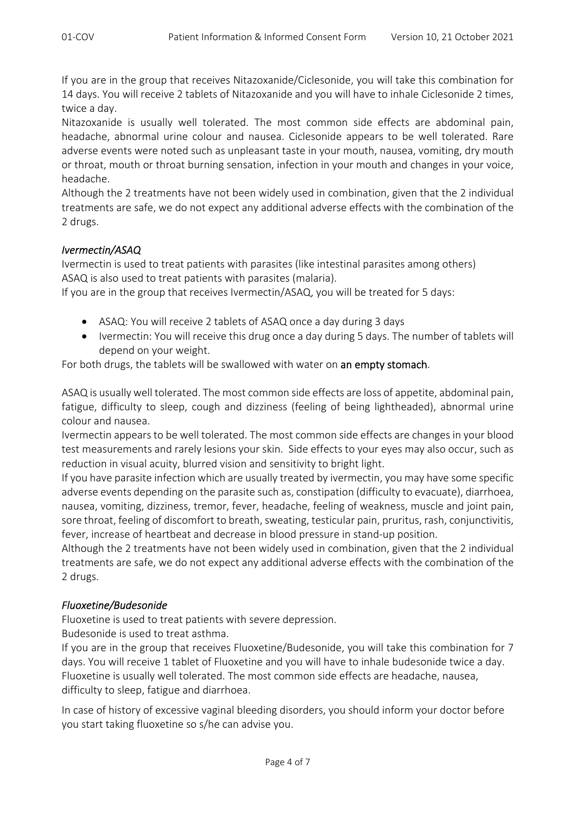If you are in the group that receives Nitazoxanide/Ciclesonide, you will take this combination for 14 days. You will receive 2 tablets of Nitazoxanide and you will have to inhale Ciclesonide 2 times, twice a day.

Nitazoxanide is usually well tolerated. The most common side effects are abdominal pain, headache, abnormal urine colour and nausea. Ciclesonide appears to be well tolerated. Rare adverse events were noted such as unpleasant taste in your mouth, nausea, vomiting, dry mouth or throat, mouth or throat burning sensation, infection in your mouth and changes in your voice, headache.

Although the 2 treatments have not been widely used in combination, given that the 2 individual treatments are safe, we do not expect any additional adverse effects with the combination of the 2 drugs.

## *Ivermectin/ASAQ*

Ivermectin is used to treat patients with parasites (like intestinal parasites among others) ASAQ is also used to treat patients with parasites (malaria).

If you are in the group that receives Ivermectin/ASAQ, you will be treated for 5 days:

- ASAQ: You will receive 2 tablets of ASAQ once a day during 3 days
- Ivermectin: You will receive this drug once a day during 5 days. The number of tablets will depend on your weight.

For both drugs, the tablets will be swallowed with water on an empty stomach.

ASAQ is usually well tolerated. The most common side effects are loss of appetite, abdominal pain, fatigue, difficulty to sleep, cough and dizziness (feeling of being lightheaded), abnormal urine colour and nausea.

Ivermectin appears to be well tolerated. The most common side effects are changes in your blood test measurements and rarely lesions your skin. Side effects to your eyes may also occur, such as reduction in visual acuity, blurred vision and sensitivity to bright light.

If you have parasite infection which are usually treated by ivermectin, you may have some specific adverse events depending on the parasite such as, constipation (difficulty to evacuate), diarrhoea, nausea, vomiting, dizziness, tremor, fever, headache, feeling of weakness, muscle and joint pain, sore throat, feeling of discomfort to breath, sweating, testicular pain, pruritus, rash, conjunctivitis, fever, increase of heartbeat and decrease in blood pressure in stand-up position.

Although the 2 treatments have not been widely used in combination, given that the 2 individual treatments are safe, we do not expect any additional adverse effects with the combination of the 2 drugs.

## *Fluoxetine/Budesonide*

Fluoxetine is used to treat patients with severe depression.

Budesonide is used to treat asthma.

If you are in the group that receives Fluoxetine/Budesonide, you will take this combination for 7 days. You will receive 1 tablet of Fluoxetine and you will have to inhale budesonide twice a day. Fluoxetine is usually well tolerated. The most common side effects are headache, nausea, difficulty to sleep, fatigue and diarrhoea.

In case of history of excessive vaginal bleeding disorders, you should inform your doctor before you start taking fluoxetine so s/he can advise you.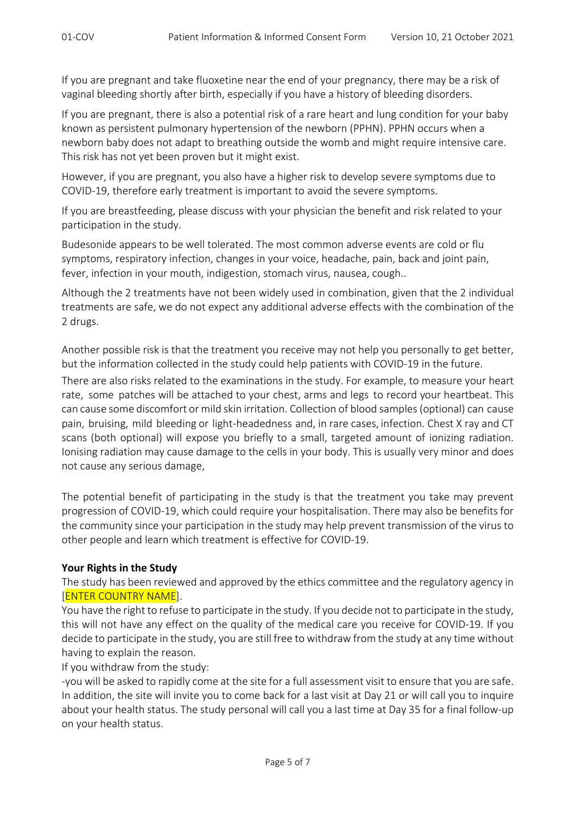If you are pregnant and take fluoxetine near the end of your pregnancy, there may be a risk of vaginal bleeding shortly after birth, especially if you have a history of bleeding disorders.

If you are pregnant, there is also a potential risk of a rare heart and lung condition for your baby known as persistent pulmonary hypertension of the newborn (PPHN). PPHN occurs when a newborn baby does not adapt to breathing outside the womb and might require intensive care. This risk has not yet been proven but it might exist.

However, if you are pregnant, you also have a higher risk to develop severe symptoms due to COVID‐19, therefore early treatment is important to avoid the severe symptoms.

If you are breastfeeding, please discuss with your physician the benefit and risk related to your participation in the study.

Budesonide appears to be well tolerated. The most common adverse events are cold or flu symptoms, respiratory infection, changes in your voice, headache, pain, back and joint pain, fever, infection in your mouth, indigestion, stomach virus, nausea, cough..

Although the 2 treatments have not been widely used in combination, given that the 2 individual treatments are safe, we do not expect any additional adverse effects with the combination of the 2 drugs.

Another possible risk is that the treatment you receive may not help you personally to get better, but the information collected in the study could help patients with COVID‐19 in the future.

There are also risks related to the examinations in the study. For example, to measure your heart rate, some patches will be attached to your chest, arms and legs to record your heartbeat. This can cause some discomfort or mild skin irritation. Collection of blood samples(optional) can cause pain, bruising, mild bleeding or light-headedness and, in rare cases, infection. Chest X ray and CT scans (both optional) will expose you briefly to a small, targeted amount of ionizing radiation. Ionising radiation may cause damage to the cells in your body. This is usually very minor and does not cause any serious damage,

The potential benefit of participating in the study is that the treatment you take may prevent progression of COVID‐19, which could require your hospitalisation. There may also be benefits for the community since your participation in the study may help prevent transmission of the virus to other people and learn which treatment is effective for COVID‐19.

### **Your Rights in the Study**

The study has been reviewed and approved by the ethics committee and the regulatory agency in [ENTER COUNTRY NAME].

You have the right to refuse to participate in the study. If you decide not to participate in the study, this will not have any effect on the quality of the medical care you receive for COVID‐19. If you decide to participate in the study, you are still free to withdraw from the study at any time without having to explain the reason.

If you withdraw from the study:

‐you will be asked to rapidly come at the site for a full assessment visit to ensure that you are safe. In addition, the site will invite you to come back for a last visit at Day 21 or will call you to inquire about your health status. The study personal will call you a last time at Day 35 for a final follow‐up on your health status.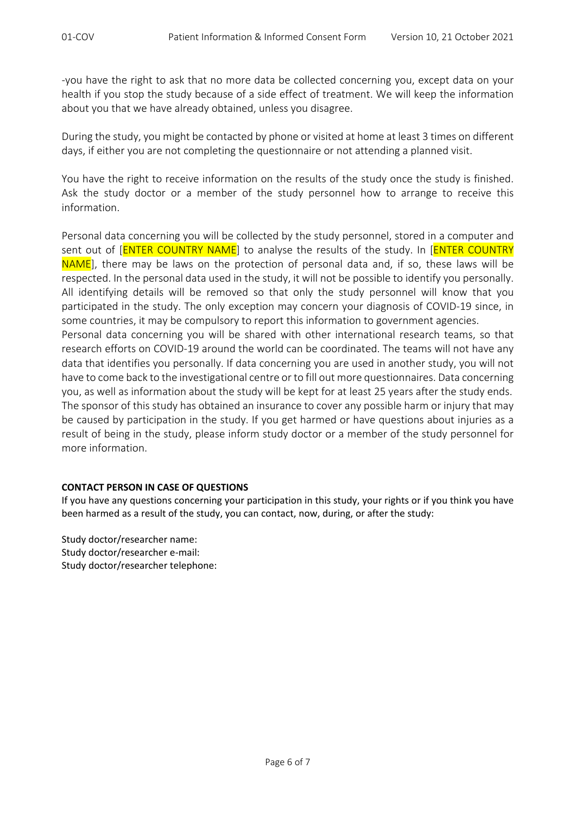‐you have the right to ask that no more data be collected concerning you, except data on your health if you stop the study because of a side effect of treatment. We will keep the information about you that we have already obtained, unless you disagree.

During the study, you might be contacted by phone or visited at home at least 3 times on different days, if either you are not completing the questionnaire or not attending a planned visit.

You have the right to receive information on the results of the study once the study is finished. Ask the study doctor or a member of the study personnel how to arrange to receive this information.

Personal data concerning you will be collected by the study personnel, stored in a computer and sent out of [**ENTER COUNTRY NAME**] to analyse the results of the study. In [**ENTER COUNTRY** NAME], there may be laws on the protection of personal data and, if so, these laws will be respected. In the personal data used in the study, it will not be possible to identify you personally. All identifying details will be removed so that only the study personnel will know that you participated in the study. The only exception may concern your diagnosis of COVID‐19 since, in some countries, it may be compulsory to report this information to government agencies. Personal data concerning you will be shared with other international research teams, so that research efforts on COVID‐19 around the world can be coordinated. The teams will not have any data that identifies you personally. If data concerning you are used in another study, you will not have to come back to the investigational centre or to fill out more questionnaires. Data concerning you, as well as information about the study will be kept for at least 25 years after the study ends. The sponsor of this study has obtained an insurance to cover any possible harm or injury that may be caused by participation in the study. If you get harmed or have questions about injuries as a result of being in the study, please inform study doctor or a member of the study personnel for

### **CONTACT PERSON IN CASE OF QUESTIONS**

If you have any questions concerning your participation in this study, your rights or if you think you have been harmed as a result of the study, you can contact, now, during, or after the study:

Study doctor/researcher name: Study doctor/researcher e‐mail: Study doctor/researcher telephone:

more information.